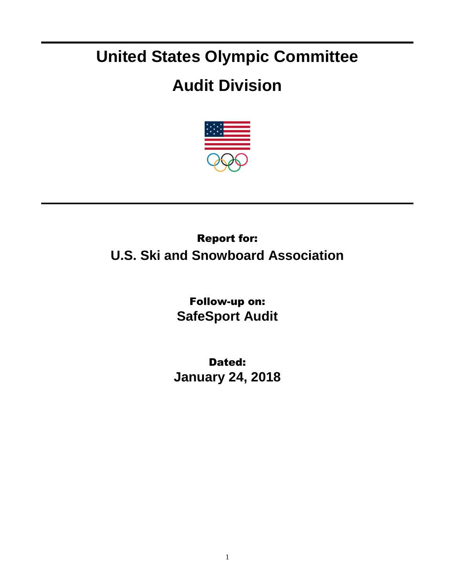## **United States Olympic Committee**

## **Audit Division**



## Report for: **U.S. Ski and Snowboard Association**

Follow-up on: **SafeSport Audit**

Dated: **January 24, 2018**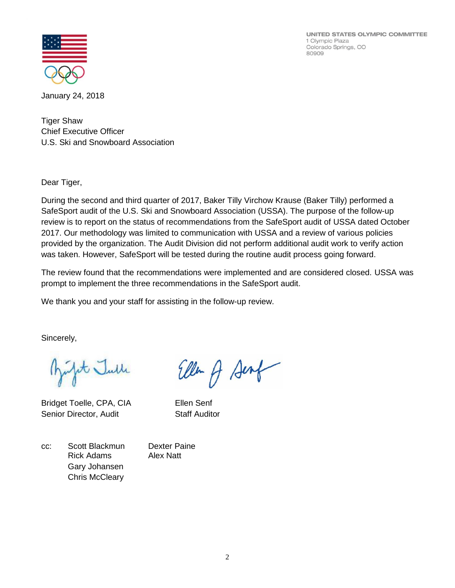UNITED STATES OLYMPIC COMMITTEE 1 Olympic Plaza Colorado Springs, CO 80909



January 24, 2018

Tiger Shaw Chief Executive Officer U.S. Ski and Snowboard Association

Dear Tiger,

During the second and third quarter of 2017, Baker Tilly Virchow Krause (Baker Tilly) performed a SafeSport audit of the U.S. Ski and Snowboard Association (USSA). The purpose of the follow-up review is to report on the status of recommendations from the SafeSport audit of USSA dated October 2017. Our methodology was limited to communication with USSA and a review of various policies provided by the organization. The Audit Division did not perform additional audit work to verify action was taken. However, SafeSport will be tested during the routine audit process going forward.

The review found that the recommendations were implemented and are considered closed. USSA was prompt to implement the three recommendations in the SafeSport audit.

We thank you and your staff for assisting in the follow-up review.

Sincerely,

pt Julle

Bridget Toelle, CPA, CIA Ellen Senf Senior Director, Audit Staff Auditor

Ellen A Sent

cc: Scott Blackmun Dexter Paine Rick Adams Alex Natt Gary Johansen Chris McCleary